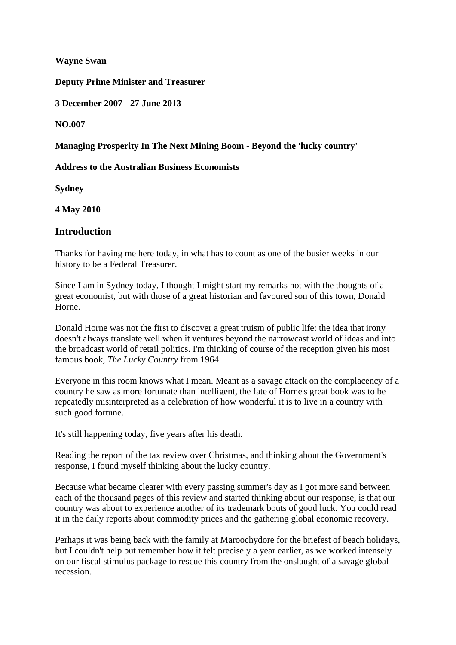**Wayne Swan** 

**Deputy Prime Minister and Treasurer** 

**3 December 2007 - 27 June 2013** 

**NO.007**

#### **Managing Prosperity In The Next Mining Boom - Beyond the 'lucky country'**

**Address to the Australian Business Economists** 

**Sydney** 

**4 May 2010** 

### **Introduction**

Thanks for having me here today, in what has to count as one of the busier weeks in our history to be a Federal Treasurer.

Since I am in Sydney today, I thought I might start my remarks not with the thoughts of a great economist, but with those of a great historian and favoured son of this town, Donald Horne.

Donald Horne was not the first to discover a great truism of public life: the idea that irony doesn't always translate well when it ventures beyond the narrowcast world of ideas and into the broadcast world of retail politics. I'm thinking of course of the reception given his most famous book, *The Lucky Country* from 1964.

Everyone in this room knows what I mean. Meant as a savage attack on the complacency of a country he saw as more fortunate than intelligent, the fate of Horne's great book was to be repeatedly misinterpreted as a celebration of how wonderful it is to live in a country with such good fortune.

It's still happening today, five years after his death.

Reading the report of the tax review over Christmas, and thinking about the Government's response, I found myself thinking about the lucky country.

Because what became clearer with every passing summer's day as I got more sand between each of the thousand pages of this review and started thinking about our response, is that our country was about to experience another of its trademark bouts of good luck. You could read it in the daily reports about commodity prices and the gathering global economic recovery.

Perhaps it was being back with the family at Maroochydore for the briefest of beach holidays, but I couldn't help but remember how it felt precisely a year earlier, as we worked intensely on our fiscal stimulus package to rescue this country from the onslaught of a savage global recession.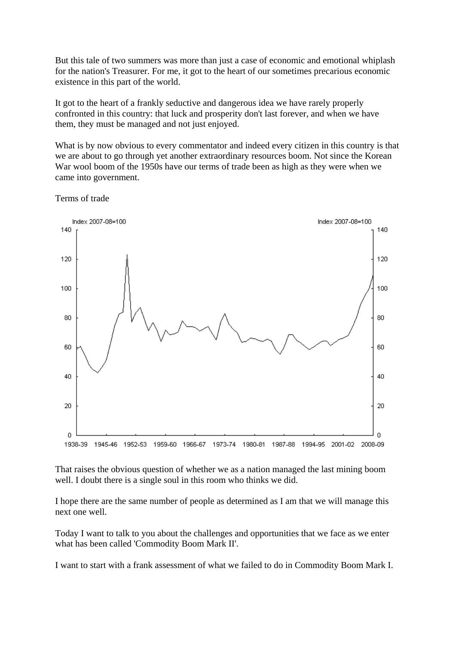But this tale of two summers was more than just a case of economic and emotional whiplash for the nation's Treasurer. For me, it got to the heart of our sometimes precarious economic existence in this part of the world.

It got to the heart of a frankly seductive and dangerous idea we have rarely properly confronted in this country: that luck and prosperity don't last forever, and when we have them, they must be managed and not just enjoyed.

What is by now obvious to every commentator and indeed every citizen in this country is that we are about to go through yet another extraordinary resources boom. Not since the Korean War wool boom of the 1950s have our terms of trade been as high as they were when we came into government.

Terms of trade



That raises the obvious question of whether we as a nation managed the last mining boom well. I doubt there is a single soul in this room who thinks we did.

I hope there are the same number of people as determined as I am that we will manage this next one well.

Today I want to talk to you about the challenges and opportunities that we face as we enter what has been called 'Commodity Boom Mark II'.

I want to start with a frank assessment of what we failed to do in Commodity Boom Mark I.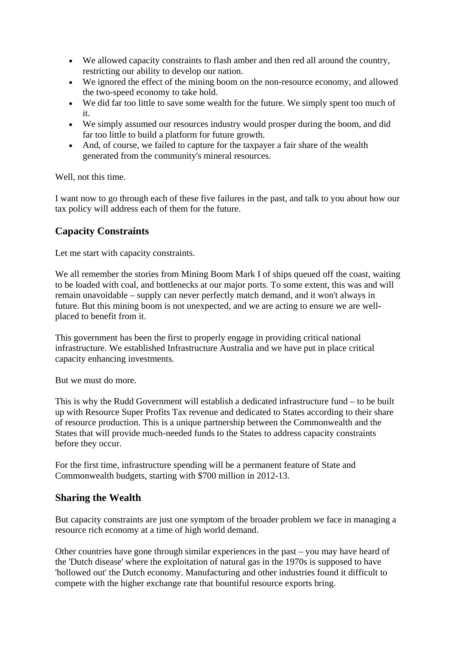- We allowed capacity constraints to flash amber and then red all around the country, restricting our ability to develop our nation.
- We ignored the effect of the mining boom on the non-resource economy, and allowed the two-speed economy to take hold.
- We did far too little to save some wealth for the future. We simply spent too much of it.
- We simply assumed our resources industry would prosper during the boom, and did far too little to build a platform for future growth.
- And, of course, we failed to capture for the taxpayer a fair share of the wealth generated from the community's mineral resources.

Well, not this time.

I want now to go through each of these five failures in the past, and talk to you about how our tax policy will address each of them for the future.

# **Capacity Constraints**

Let me start with capacity constraints.

We all remember the stories from Mining Boom Mark I of ships queued off the coast, waiting to be loaded with coal, and bottlenecks at our major ports. To some extent, this was and will remain unavoidable – supply can never perfectly match demand, and it won't always in future. But this mining boom is not unexpected, and we are acting to ensure we are wellplaced to benefit from it.

This government has been the first to properly engage in providing critical national infrastructure. We established Infrastructure Australia and we have put in place critical capacity enhancing investments.

But we must do more.

This is why the Rudd Government will establish a dedicated infrastructure fund – to be built up with Resource Super Profits Tax revenue and dedicated to States according to their share of resource production. This is a unique partnership between the Commonwealth and the States that will provide much-needed funds to the States to address capacity constraints before they occur.

For the first time, infrastructure spending will be a permanent feature of State and Commonwealth budgets, starting with \$700 million in 2012-13.

#### **Sharing the Wealth**

But capacity constraints are just one symptom of the broader problem we face in managing a resource rich economy at a time of high world demand.

Other countries have gone through similar experiences in the past – you may have heard of the 'Dutch disease' where the exploitation of natural gas in the 1970s is supposed to have 'hollowed out' the Dutch economy. Manufacturing and other industries found it difficult to compete with the higher exchange rate that bountiful resource exports bring.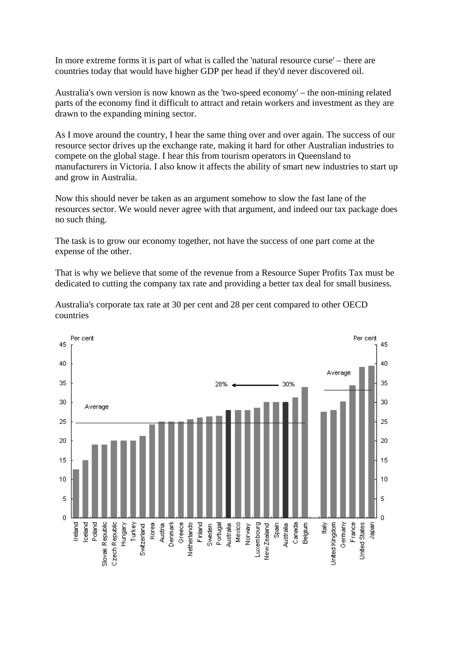In more extreme forms it is part of what is called the 'natural resource curse' – there are countries today that would have higher GDP per head if they'd never discovered oil.

Australia's own version is now known as the 'two-speed economy' – the non-mining related parts of the economy find it difficult to attract and retain workers and investment as they are drawn to the expanding mining sector.

As I move around the country, I hear the same thing over and over again. The success of our resource sector drives up the exchange rate, making it hard for other Australian industries to compete on the global stage. I hear this from tourism operators in Queensland to manufacturers in Victoria. I also know it affects the ability of smart new industries to start up and grow in Australia.

Now this should never be taken as an argument somehow to slow the fast lane of the resources sector. We would never agree with that argument, and indeed our tax package does no such thing.

The task is to grow our economy together, not have the success of one part come at the expense of the other.

That is why we believe that some of the revenue from a Resource Super Profits Tax must be dedicated to cutting the company tax rate and providing a better tax deal for small business.



Australia's corporate tax rate at 30 per cent and 28 per cent compared to other OECD countries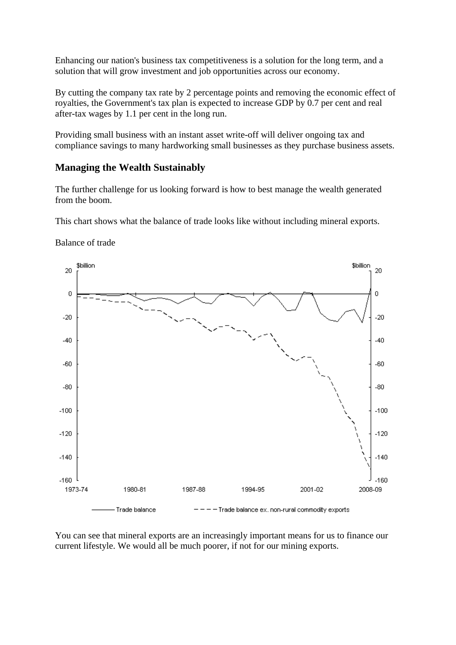Enhancing our nation's business tax competitiveness is a solution for the long term, and a solution that will grow investment and job opportunities across our economy.

By cutting the company tax rate by 2 percentage points and removing the economic effect of royalties, the Government's tax plan is expected to increase GDP by 0.7 per cent and real after-tax wages by 1.1 per cent in the long run.

Providing small business with an instant asset write-off will deliver ongoing tax and compliance savings to many hardworking small businesses as they purchase business assets.

### **Managing the Wealth Sustainably**

The further challenge for us looking forward is how to best manage the wealth generated from the boom.

This chart shows what the balance of trade looks like without including mineral exports.

Balance of trade



You can see that mineral exports are an increasingly important means for us to finance our current lifestyle. We would all be much poorer, if not for our mining exports.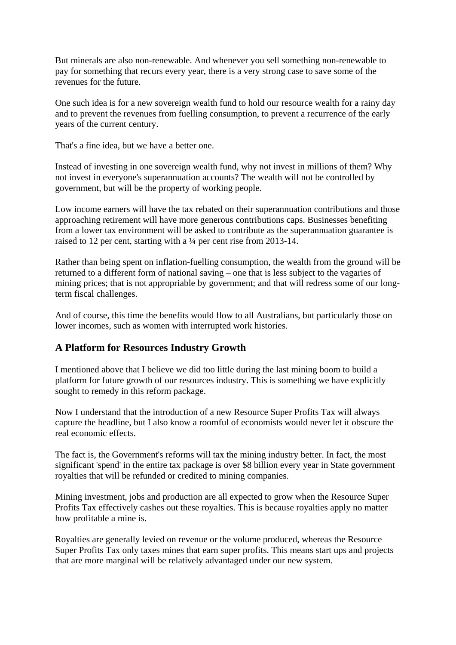But minerals are also non-renewable. And whenever you sell something non-renewable to pay for something that recurs every year, there is a very strong case to save some of the revenues for the future.

One such idea is for a new sovereign wealth fund to hold our resource wealth for a rainy day and to prevent the revenues from fuelling consumption, to prevent a recurrence of the early years of the current century.

That's a fine idea, but we have a better one.

Instead of investing in one sovereign wealth fund, why not invest in millions of them? Why not invest in everyone's superannuation accounts? The wealth will not be controlled by government, but will be the property of working people.

Low income earners will have the tax rebated on their superannuation contributions and those approaching retirement will have more generous contributions caps. Businesses benefiting from a lower tax environment will be asked to contribute as the superannuation guarantee is raised to 12 per cent, starting with a ¼ per cent rise from 2013-14.

Rather than being spent on inflation-fuelling consumption, the wealth from the ground will be returned to a different form of national saving – one that is less subject to the vagaries of mining prices; that is not appropriable by government; and that will redress some of our longterm fiscal challenges.

And of course, this time the benefits would flow to all Australians, but particularly those on lower incomes, such as women with interrupted work histories.

# **A Platform for Resources Industry Growth**

I mentioned above that I believe we did too little during the last mining boom to build a platform for future growth of our resources industry. This is something we have explicitly sought to remedy in this reform package.

Now I understand that the introduction of a new Resource Super Profits Tax will always capture the headline, but I also know a roomful of economists would never let it obscure the real economic effects.

The fact is, the Government's reforms will tax the mining industry better. In fact, the most significant 'spend' in the entire tax package is over \$8 billion every year in State government royalties that will be refunded or credited to mining companies.

Mining investment, jobs and production are all expected to grow when the Resource Super Profits Tax effectively cashes out these royalties. This is because royalties apply no matter how profitable a mine is.

Royalties are generally levied on revenue or the volume produced, whereas the Resource Super Profits Tax only taxes mines that earn super profits. This means start ups and projects that are more marginal will be relatively advantaged under our new system.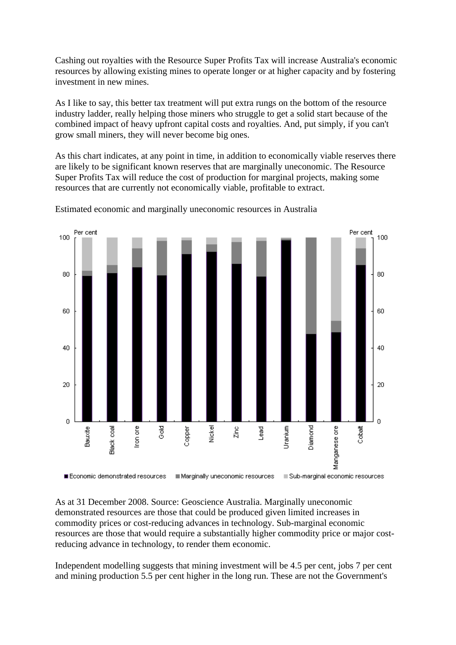Cashing out royalties with the Resource Super Profits Tax will increase Australia's economic resources by allowing existing mines to operate longer or at higher capacity and by fostering investment in new mines.

As I like to say, this better tax treatment will put extra rungs on the bottom of the resource industry ladder, really helping those miners who struggle to get a solid start because of the combined impact of heavy upfront capital costs and royalties. And, put simply, if you can't grow small miners, they will never become big ones.

As this chart indicates, at any point in time, in addition to economically viable reserves there are likely to be significant known reserves that are marginally uneconomic. The Resource Super Profits Tax will reduce the cost of production for marginal projects, making some resources that are currently not economically viable, profitable to extract.



Estimated economic and marginally uneconomic resources in Australia

As at 31 December 2008. Source: Geoscience Australia. Marginally uneconomic demonstrated resources are those that could be produced given limited increases in commodity prices or cost-reducing advances in technology. Sub-marginal economic resources are those that would require a substantially higher commodity price or major costreducing advance in technology, to render them economic.

Independent modelling suggests that mining investment will be 4.5 per cent, jobs 7 per cent and mining production 5.5 per cent higher in the long run. These are not the Government's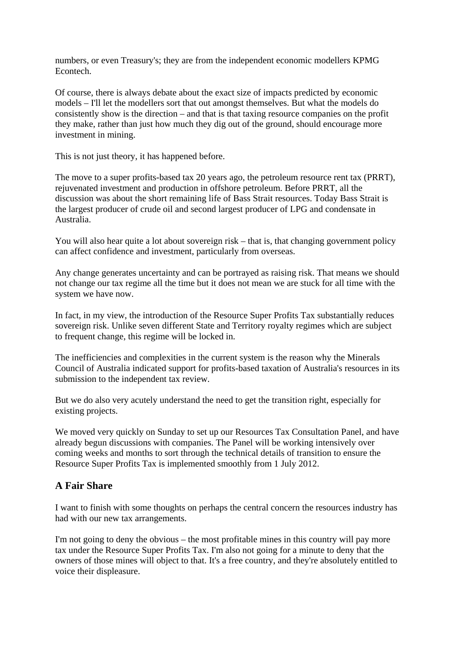numbers, or even Treasury's; they are from the independent economic modellers KPMG Econtech.

Of course, there is always debate about the exact size of impacts predicted by economic models – I'll let the modellers sort that out amongst themselves. But what the models do consistently show is the direction – and that is that taxing resource companies on the profit they make, rather than just how much they dig out of the ground, should encourage more investment in mining.

This is not just theory, it has happened before.

The move to a super profits-based tax 20 years ago, the petroleum resource rent tax (PRRT), rejuvenated investment and production in offshore petroleum. Before PRRT, all the discussion was about the short remaining life of Bass Strait resources. Today Bass Strait is the largest producer of crude oil and second largest producer of LPG and condensate in Australia.

You will also hear quite a lot about sovereign risk – that is, that changing government policy can affect confidence and investment, particularly from overseas.

Any change generates uncertainty and can be portrayed as raising risk. That means we should not change our tax regime all the time but it does not mean we are stuck for all time with the system we have now.

In fact, in my view, the introduction of the Resource Super Profits Tax substantially reduces sovereign risk. Unlike seven different State and Territory royalty regimes which are subject to frequent change, this regime will be locked in.

The inefficiencies and complexities in the current system is the reason why the Minerals Council of Australia indicated support for profits-based taxation of Australia's resources in its submission to the independent tax review.

But we do also very acutely understand the need to get the transition right, especially for existing projects.

We moved very quickly on Sunday to set up our Resources Tax Consultation Panel, and have already begun discussions with companies. The Panel will be working intensively over coming weeks and months to sort through the technical details of transition to ensure the Resource Super Profits Tax is implemented smoothly from 1 July 2012.

# **A Fair Share**

I want to finish with some thoughts on perhaps the central concern the resources industry has had with our new tax arrangements.

I'm not going to deny the obvious – the most profitable mines in this country will pay more tax under the Resource Super Profits Tax. I'm also not going for a minute to deny that the owners of those mines will object to that. It's a free country, and they're absolutely entitled to voice their displeasure.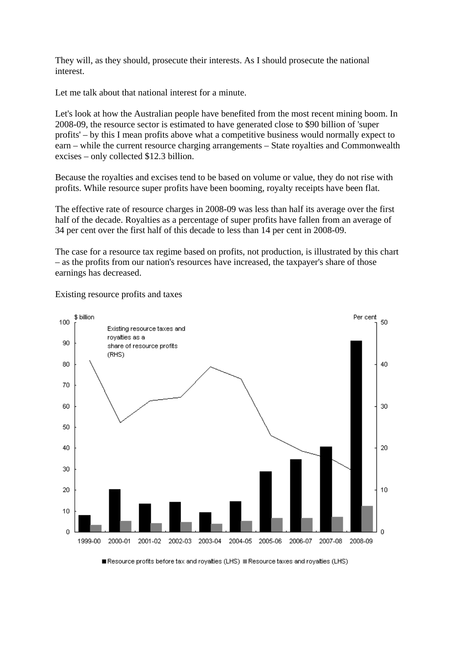They will, as they should, prosecute their interests. As I should prosecute the national interest.

Let me talk about that national interest for a minute.

Let's look at how the Australian people have benefited from the most recent mining boom. In 2008-09, the resource sector is estimated to have generated close to \$90 billion of 'super profits' – by this I mean profits above what a competitive business would normally expect to earn – while the current resource charging arrangements – State royalties and Commonwealth excises – only collected \$12.3 billion.

Because the royalties and excises tend to be based on volume or value, they do not rise with profits. While resource super profits have been booming, royalty receipts have been flat.

The effective rate of resource charges in 2008-09 was less than half its average over the first half of the decade. Royalties as a percentage of super profits have fallen from an average of 34 per cent over the first half of this decade to less than 14 per cent in 2008-09.

The case for a resource tax regime based on profits, not production, is illustrated by this chart – as the profits from our nation's resources have increased, the taxpayer's share of those earnings has decreased.

Existing resource profits and taxes



Resource profits before tax and royalties (LHS) Resource taxes and royalties (LHS)